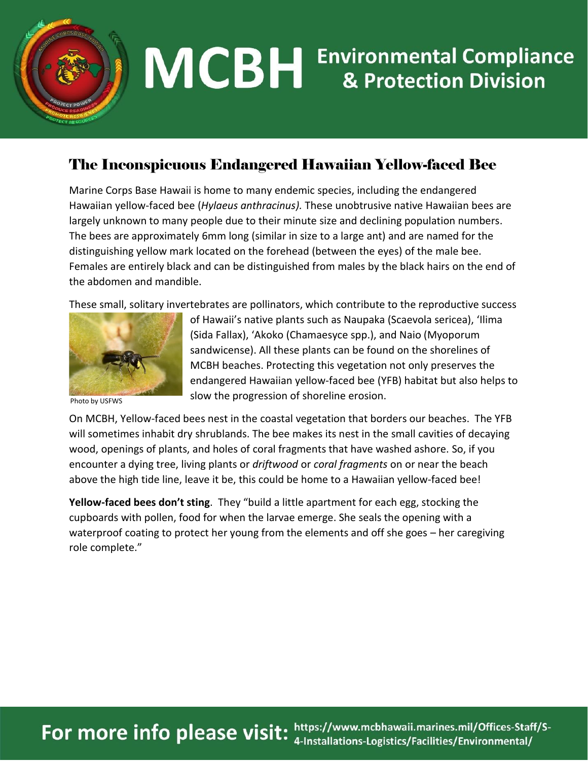

## **MCBH** Environmental Compliance

## The Inconspicuous Endangered Hawaiian Yellow-faced Bee

Marine Corps Base Hawaii is home to many endemic species, including the endangered Hawaiian yellow-faced bee (*Hylaeus anthracinus).* These unobtrusive native Hawaiian bees are largely unknown to many people due to their minute size and declining population numbers. The bees are approximately 6mm long (similar in size to a large ant) and are named for the distinguishing yellow mark located on the forehead (between the eyes) of the male bee. Females are entirely black and can be distinguished from males by the black hairs on the end of the abdomen and mandible.

These small, solitary invertebrates are pollinators, which contribute to the reproductive success



Photo by USFWS

of Hawaii's native plants such as Naupaka (Scaevola sericea), 'Ilima (Sida Fallax), 'Akoko (Chamaesyce spp.), and Naio (Myoporum sandwicense). All these plants can be found on the shorelines of MCBH beaches. Protecting this vegetation not only preserves the endangered Hawaiian yellow-faced bee (YFB) habitat but also helps to slow the progression of shoreline erosion.

On MCBH, Yellow-faced bees nest in the coastal vegetation that borders our beaches. The YFB will sometimes inhabit dry shrublands. The bee makes its nest in the small cavities of decaying wood, openings of plants, and holes of coral fragments that have washed ashore. So, if you encounter a dying tree, living plants or *driftwood* or *coral fragments* on or near the beach above the high tide line, leave it be, this could be home to a Hawaiian yellow-faced bee!

**Yellow-faced bees don't sting**. They "build a little apartment for each egg, stocking the cupboards with pollen, food for when the larvae emerge. She seals the opening with a waterproof coating to protect her young from the elements and off she goes – her caregiving role complete."